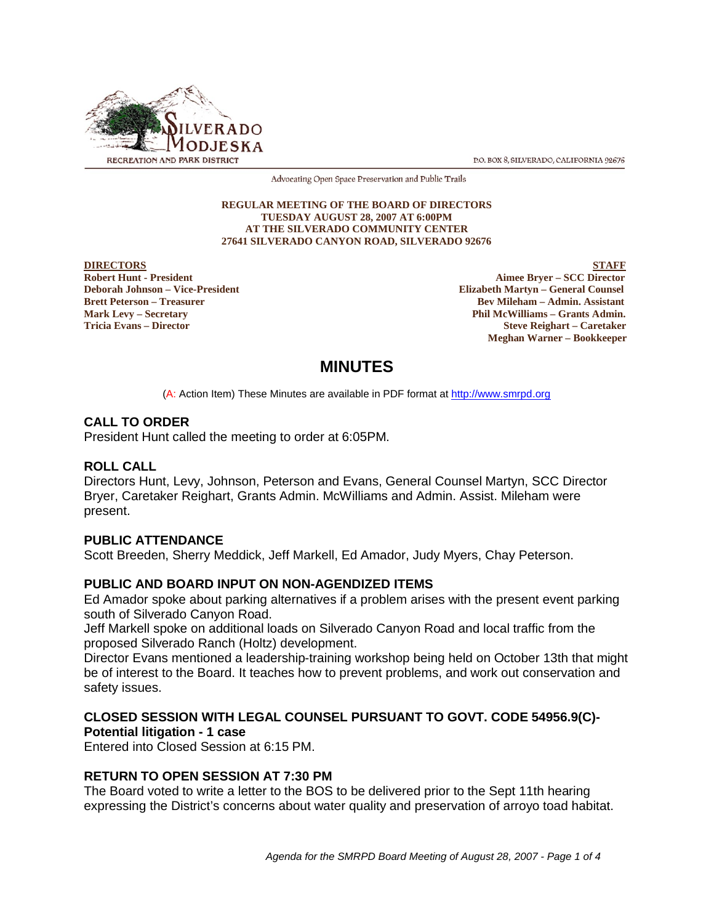

P.O. BOX 8. SILVERADO, CALIFORNIA 92676

Advocating Open Space Preservation and Public Trails

#### **REGULAR MEETING OF THE BOARD OF DIRECTORS TUESDAY AUGUST 28, 2007 AT 6:00PM AT THE SILVERADO COMMUNITY CENTER 27641 SILVERADO CANYON ROAD, SILVERADO 92676**

**DIRECTORS** STAFF

**Robert Hunt - President Aimee Bryer – SCC Director Deborah Johnson – Vice-President Elizabeth Martyn – General Counsel Brett Peterson – Treasurer Bev Mileham – Admin. Assistant Mark Levy – Secretary Phil McWilliams – Grants Admin. Tricia Evans – Director Steve Reighart – Caretaker Meghan Warner – Bookkeeper**

# **MINUTES**

(A: Action Item) These Minutes are available in PDF format at http://www.smrpd.org

# **CALL TO ORDER**

President Hunt called the meeting to order at 6:05PM.

## **ROLL CALL**

Directors Hunt, Levy, Johnson, Peterson and Evans, General Counsel Martyn, SCC Director Bryer, Caretaker Reighart, Grants Admin. McWilliams and Admin. Assist. Mileham were present.

#### **PUBLIC ATTENDANCE**

Scott Breeden, Sherry Meddick, Jeff Markell, Ed Amador, Judy Myers, Chay Peterson.

# **PUBLIC AND BOARD INPUT ON NON-AGENDIZED ITEMS**

Ed Amador spoke about parking alternatives if a problem arises with the present event parking south of Silverado Canyon Road.

Jeff Markell spoke on additional loads on Silverado Canyon Road and local traffic from the proposed Silverado Ranch (Holtz) development.

Director Evans mentioned a leadership-training workshop being held on October 13th that might be of interest to the Board. It teaches how to prevent problems, and work out conservation and safety issues.

# **CLOSED SESSION WITH LEGAL COUNSEL PURSUANT TO GOVT. CODE 54956.9(C)- Potential litigation - 1 case**

Entered into Closed Session at 6:15 PM.

# **RETURN TO OPEN SESSION AT 7:30 PM**

The Board voted to write a letter to the BOS to be delivered prior to the Sept 11th hearing expressing the District's concerns about water quality and preservation of arroyo toad habitat.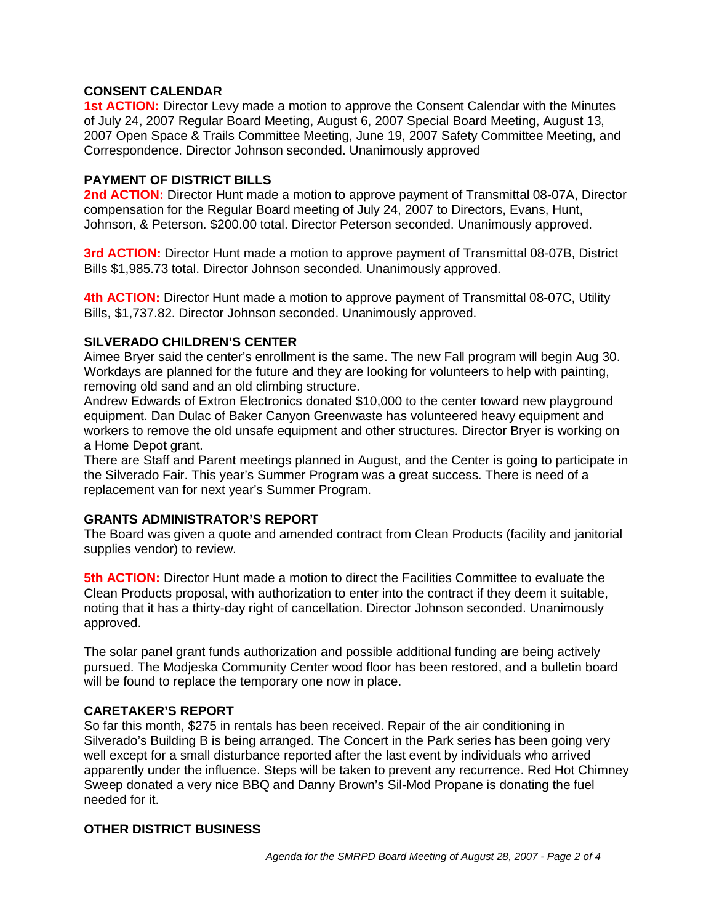# **CONSENT CALENDAR**

**1st ACTION:** Director Levy made a motion to approve the Consent Calendar with the Minutes of July 24, 2007 Regular Board Meeting, August 6, 2007 Special Board Meeting, August 13, 2007 Open Space & Trails Committee Meeting, June 19, 2007 Safety Committee Meeting, and Correspondence. Director Johnson seconded. Unanimously approved

# **PAYMENT OF DISTRICT BILLS**

**2nd ACTION:** Director Hunt made a motion to approve payment of Transmittal 08-07A, Director compensation for the Regular Board meeting of July 24, 2007 to Directors, Evans, Hunt, Johnson, & Peterson. \$200.00 total. Director Peterson seconded. Unanimously approved.

**3rd ACTION:** Director Hunt made a motion to approve payment of Transmittal 08-07B, District Bills \$1,985.73 total. Director Johnson seconded. Unanimously approved.

**4th ACTION:** Director Hunt made a motion to approve payment of Transmittal 08-07C, Utility Bills, \$1,737.82. Director Johnson seconded. Unanimously approved.

# **SILVERADO CHILDREN'S CENTER**

Aimee Bryer said the center's enrollment is the same. The new Fall program will begin Aug 30. Workdays are planned for the future and they are looking for volunteers to help with painting, removing old sand and an old climbing structure.

Andrew Edwards of Extron Electronics donated \$10,000 to the center toward new playground equipment. Dan Dulac of Baker Canyon Greenwaste has volunteered heavy equipment and workers to remove the old unsafe equipment and other structures. Director Bryer is working on a Home Depot grant.

There are Staff and Parent meetings planned in August, and the Center is going to participate in the Silverado Fair. This year's Summer Program was a great success. There is need of a replacement van for next year's Summer Program.

## **GRANTS ADMINISTRATOR'S REPORT**

The Board was given a quote and amended contract from Clean Products (facility and janitorial supplies vendor) to review.

**5th ACTION:** Director Hunt made a motion to direct the Facilities Committee to evaluate the Clean Products proposal, with authorization to enter into the contract if they deem it suitable, noting that it has a thirty-day right of cancellation. Director Johnson seconded. Unanimously approved.

The solar panel grant funds authorization and possible additional funding are being actively pursued. The Modjeska Community Center wood floor has been restored, and a bulletin board will be found to replace the temporary one now in place.

#### **CARETAKER'S REPORT**

So far this month, \$275 in rentals has been received. Repair of the air conditioning in Silverado's Building B is being arranged. The Concert in the Park series has been going very well except for a small disturbance reported after the last event by individuals who arrived apparently under the influence. Steps will be taken to prevent any recurrence. Red Hot Chimney Sweep donated a very nice BBQ and Danny Brown's Sil-Mod Propane is donating the fuel needed for it.

# **OTHER DISTRICT BUSINESS**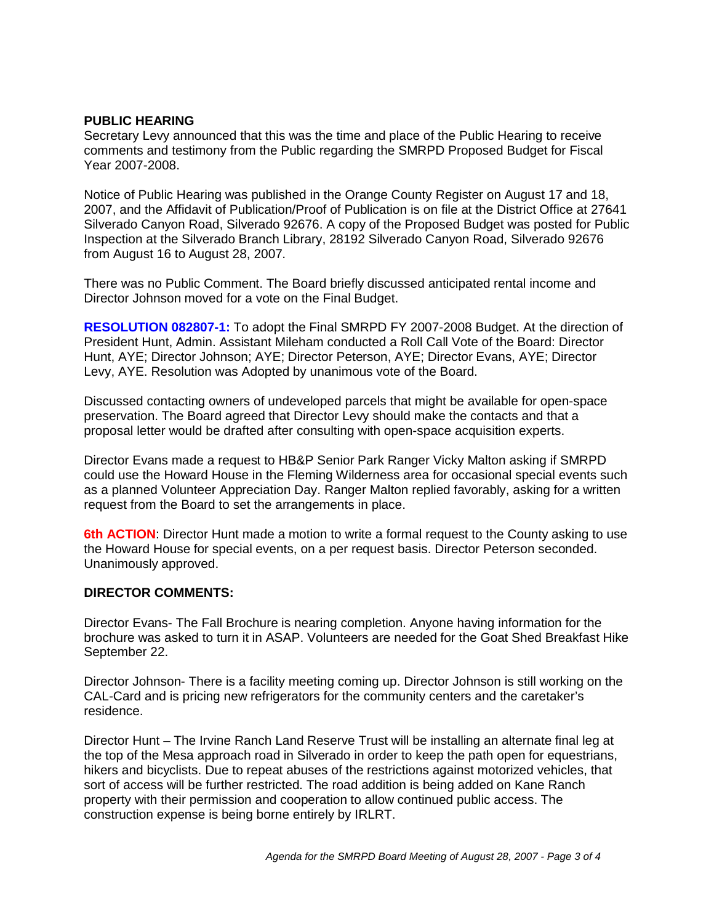# **PUBLIC HEARING**

Secretary Levy announced that this was the time and place of the Public Hearing to receive comments and testimony from the Public regarding the SMRPD Proposed Budget for Fiscal Year 2007-2008.

Notice of Public Hearing was published in the Orange County Register on August 17 and 18, 2007, and the Affidavit of Publication/Proof of Publication is on file at the District Office at 27641 Silverado Canyon Road, Silverado 92676. A copy of the Proposed Budget was posted for Public Inspection at the Silverado Branch Library, 28192 Silverado Canyon Road, Silverado 92676 from August 16 to August 28, 2007.

There was no Public Comment. The Board briefly discussed anticipated rental income and Director Johnson moved for a vote on the Final Budget.

**RESOLUTION 082807-1:** To adopt the Final SMRPD FY 2007-2008 Budget. At the direction of President Hunt, Admin. Assistant Mileham conducted a Roll Call Vote of the Board: Director Hunt, AYE; Director Johnson; AYE; Director Peterson, AYE; Director Evans, AYE; Director Levy, AYE. Resolution was Adopted by unanimous vote of the Board.

Discussed contacting owners of undeveloped parcels that might be available for open-space preservation. The Board agreed that Director Levy should make the contacts and that a proposal letter would be drafted after consulting with open-space acquisition experts.

Director Evans made a request to HB&P Senior Park Ranger Vicky Malton asking if SMRPD could use the Howard House in the Fleming Wilderness area for occasional special events such as a planned Volunteer Appreciation Day. Ranger Malton replied favorably, asking for a written request from the Board to set the arrangements in place.

**6th ACTION**: Director Hunt made a motion to write a formal request to the County asking to use the Howard House for special events, on a per request basis. Director Peterson seconded. Unanimously approved.

#### **DIRECTOR COMMENTS:**

Director Evans- The Fall Brochure is nearing completion. Anyone having information for the brochure was asked to turn it in ASAP. Volunteers are needed for the Goat Shed Breakfast Hike September 22.

Director Johnson- There is a facility meeting coming up. Director Johnson is still working on the CAL-Card and is pricing new refrigerators for the community centers and the caretaker's residence.

Director Hunt – The Irvine Ranch Land Reserve Trust will be installing an alternate final leg at the top of the Mesa approach road in Silverado in order to keep the path open for equestrians, hikers and bicyclists. Due to repeat abuses of the restrictions against motorized vehicles, that sort of access will be further restricted. The road addition is being added on Kane Ranch property with their permission and cooperation to allow continued public access. The construction expense is being borne entirely by IRLRT.